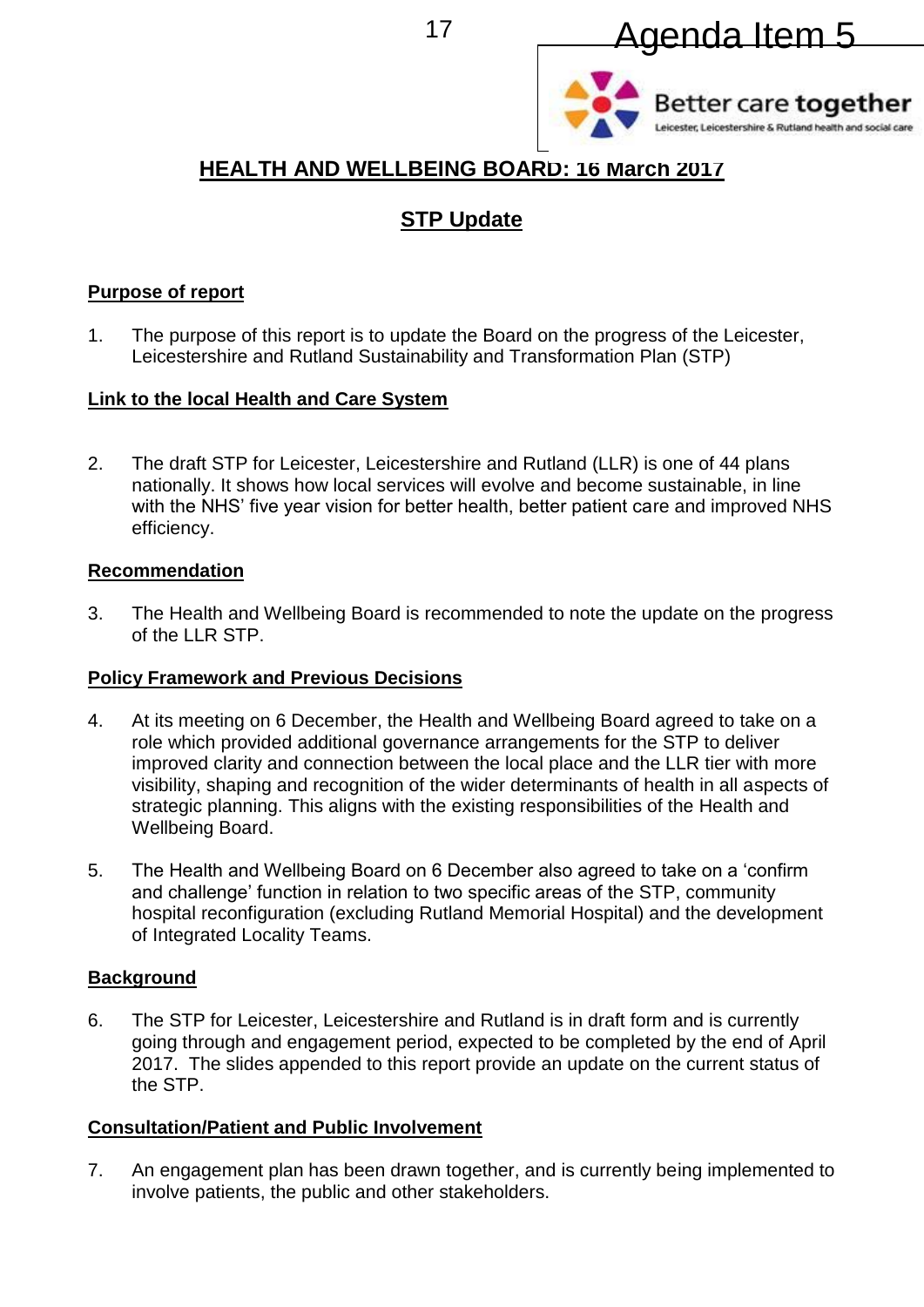



# **HEALTH AND WELLBEING BOARD: 16 March 2017**

# **STP Update**

## **Purpose of report**

1. The purpose of this report is to update the Board on the progress of the Leicester, Leicestershire and Rutland Sustainability and Transformation Plan (STP)

## **Link to the local Health and Care System**

2. The draft STP for Leicester, Leicestershire and Rutland (LLR) is one of 44 plans nationally. It shows how local services will evolve and become sustainable, in line with the NHS' five year vision for better health, better patient care and improved NHS efficiency.

## **Recommendation**

3. The Health and Wellbeing Board is recommended to note the update on the progress of the LLR STP.

## **Policy Framework and Previous Decisions**

- 4. At its meeting on 6 December, the Health and Wellbeing Board agreed to take on a role which provided additional governance arrangements for the STP to deliver improved clarity and connection between the local place and the LLR tier with more visibility, shaping and recognition of the wider determinants of health in all aspects of strategic planning. This aligns with the existing responsibilities of the Health and Wellbeing Board.
- 5. The Health and Wellbeing Board on 6 December also agreed to take on a 'confirm and challenge' function in relation to two specific areas of the STP, community hospital reconfiguration (excluding Rutland Memorial Hospital) and the development of Integrated Locality Teams.

# **Background**

6. The STP for Leicester, Leicestershire and Rutland is in draft form and is currently going through and engagement period, expected to be completed by the end of April 2017. The slides appended to this report provide an update on the current status of the STP.

# **Consultation/Patient and Public Involvement**

7. An engagement plan has been drawn together, and is currently being implemented to involve patients, the public and other stakeholders.